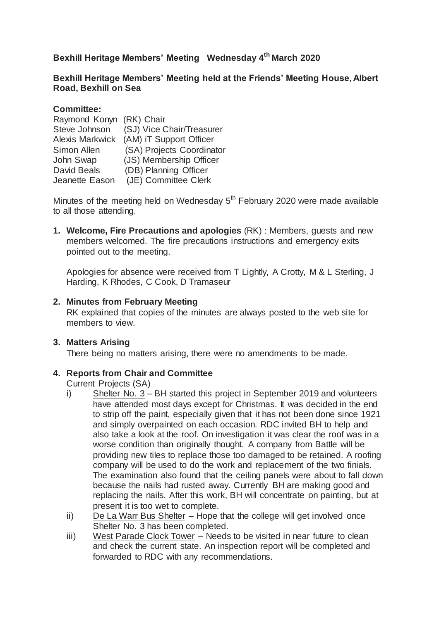# **Bexhill Heritage Members' Meeting Wednesday 4th March 2020**

## **Bexhill Heritage Members' Meeting held at the Friends' Meeting House, Albert Road, Bexhill on Sea**

## **Committee:**

| Raymond Konyn (RK) Chair |                                         |
|--------------------------|-----------------------------------------|
| Steve Johnson            | (SJ) Vice Chair/Treasurer               |
|                          | Alexis Markwick (AM) iT Support Officer |
| <b>Simon Allen</b>       | (SA) Projects Coordinator               |
| John Swap                | (JS) Membership Officer                 |
| <b>David Beals</b>       | (DB) Planning Officer                   |
| Jeanette Eason           | (JE) Committee Clerk                    |

Minutes of the meeting held on Wednesday  $5<sup>th</sup>$  February 2020 were made available to all those attending.

**1. Welcome, Fire Precautions and apologies** (RK) : Members, guests and new members welcomed. The fire precautions instructions and emergency exits pointed out to the meeting.

Apologies for absence were received from T Lightly, A Crotty, M & L Sterling, J Harding, K Rhodes, C Cook, D Tramaseur

#### **2. Minutes from February Meeting**

RK explained that copies of the minutes are always posted to the web site for members to view.

## **3. Matters Arising**

There being no matters arising, there were no amendments to be made.

## **4. Reports from Chair and Committee**

Current Projects (SA)

- i) Shelter No. 3 BH started this project in September 2019 and volunteers have attended most days except for Christmas. It was decided in the end to strip off the paint, especially given that it has not been done since 1921 and simply overpainted on each occasion. RDC invited BH to help and also take a look at the roof. On investigation it was clear the roof was in a worse condition than originally thought. A company from Battle will be providing new tiles to replace those too damaged to be retained. A roofing company will be used to do the work and replacement of the two finials. The examination also found that the ceiling panels were about to fall down because the nails had rusted away. Currently BH are making good and replacing the nails. After this work, BH will concentrate on painting, but at present it is too wet to complete.
- ii) De La Warr Bus Shelter Hope that the college will get involved once Shelter No. 3 has been completed.
- iii) West Parade Clock Tower Needs to be visited in near future to clean and check the current state. An inspection report will be completed and forwarded to RDC with any recommendations.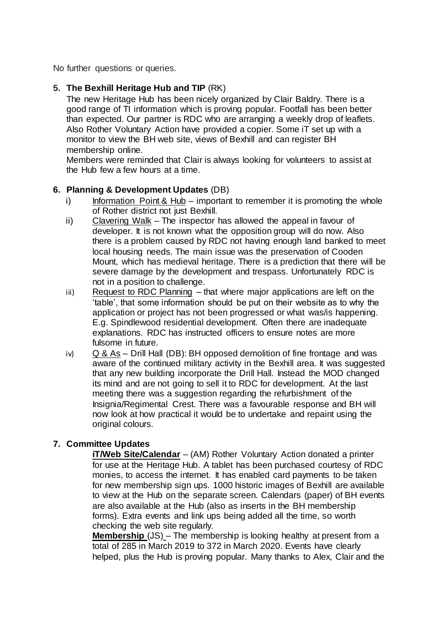No further questions or queries.

## **5. The Bexhill Heritage Hub and TIP** (RK)

The new Heritage Hub has been nicely organized by Clair Baldry. There is a good range of TI information which is proving popular. Footfall has been better than expected. Our partner is RDC who are arranging a weekly drop of leaflets. Also Rother Voluntary Action have provided a copier. Some iT set up with a monitor to view the BH web site, views of Bexhill and can register BH membership online.

Members were reminded that Clair is always looking for volunteers to assist at the Hub few a few hours at a time.

## **6. Planning & Development Updates** (DB)

- $i)$  Information Point & Hub important to remember it is promoting the whole of Rother district not just Bexhill.
- ii) Clavering Walk The inspector has allowed the appeal in favour of developer. It is not known what the opposition group will do now. Also there is a problem caused by RDC not having enough land banked to meet local housing needs. The main issue was the preservation of Cooden Mount, which has medieval heritage. There is a prediction that there will be severe damage by the development and trespass. Unfortunately RDC is not in a position to challenge.
- iii) Request to RDC Planning that where major applications are left on the 'table', that some information should be put on their website as to why the application or project has not been progressed or what was/is happening. E.g. Spindlewood residential development. Often there are inadequate explanations. RDC has instructed officers to ensure notes are more fulsome in future.
- iv) Q & As Drill Hall (DB): BH opposed demolition of fine frontage and was aware of the continued military activity in the Bexhill area. It was suggested that any new building incorporate the Drill Hall. Instead the MOD changed its mind and are not going to sell it to RDC for development. At the last meeting there was a suggestion regarding the refurbishment of the Insignia/Regimental Crest. There was a favourable response and BH will now look at how practical it would be to undertake and repaint using the original colours.

# **7. Committee Updates**

**iT/Web Site/Calendar** – (AM) Rother Voluntary Action donated a printer for use at the Heritage Hub. A tablet has been purchased courtesy of RDC monies, to access the internet. It has enabled card payments to be taken for new membership sign ups. 1000 historic images of Bexhill are available to view at the Hub on the separate screen. Calendars (paper) of BH events are also available at the Hub (also as inserts in the BH membership forms). Extra events and link ups being added all the time, so worth checking the web site regularly.

**Membership** (JS) – The membership is looking healthy at present from a total of 285 in March 2019 to 372 in March 2020. Events have clearly helped, plus the Hub is proving popular. Many thanks to Alex, Clair and the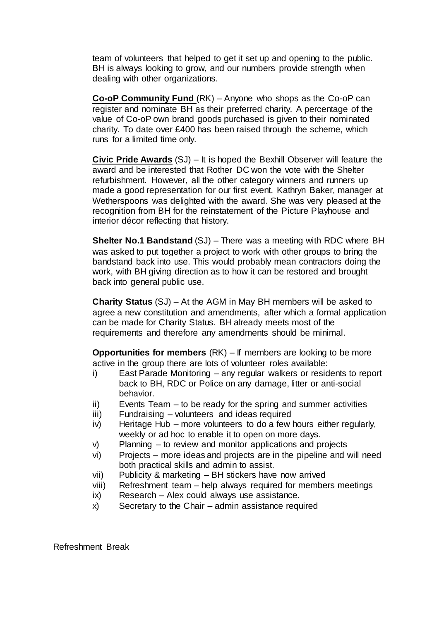team of volunteers that helped to get it set up and opening to the public. BH is always looking to grow, and our numbers provide strength when dealing with other organizations.

**Co-oP Community Fund** (RK) – Anyone who shops as the Co-oP can register and nominate BH as their preferred charity. A percentage of the value of Co-oP own brand goods purchased is given to their nominated charity. To date over £400 has been raised through the scheme, which runs for a limited time only.

**Civic Pride Awards** (SJ) – It is hoped the Bexhill Observer will feature the award and be interested that Rother DC won the vote with the Shelter refurbishment. However, all the other category winners and runners up made a good representation for our first event. Kathryn Baker, manager at Wetherspoons was delighted with the award. She was very pleased at the recognition from BH for the reinstatement of the Picture Playhouse and interior décor reflecting that history.

**Shelter No.1 Bandstand** (SJ) – There was a meeting with RDC where BH was asked to put together a project to work with other groups to bring the bandstand back into use. This would probably mean contractors doing the work, with BH giving direction as to how it can be restored and brought back into general public use.

**Charity Status** (SJ) – At the AGM in May BH members will be asked to agree a new constitution and amendments, after which a formal application can be made for Charity Status. BH already meets most of the requirements and therefore any amendments should be minimal.

**Opportunities for members** (RK) – If members are looking to be more active in the group there are lots of volunteer roles available:

- i) East Parade Monitoring any regular walkers or residents to report back to BH, RDC or Police on any damage, litter or anti-social behavior.
- ii) Events Team to be ready for the spring and summer activities
- iii) Fundraising volunteers and ideas required
- iv) Heritage Hub more volunteers to do a few hours either regularly, weekly or ad hoc to enable it to open on more days.
- v) Planning to review and monitor applications and projects
- vi) Projects more ideas and projects are in the pipeline and will need both practical skills and admin to assist.
- vii) Publicity & marketing BH stickers have now arrived
- viii) Refreshment team help always required for members meetings
- ix) Research Alex could always use assistance.
- x) Secretary to the Chair admin assistance required

Refreshment Break